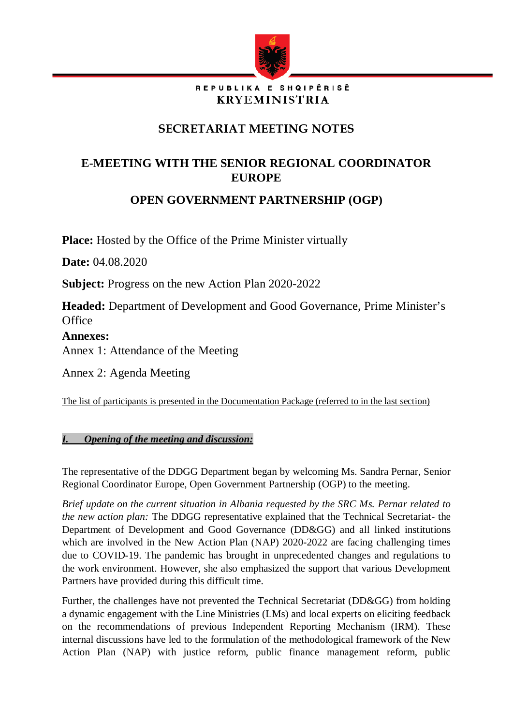

#### REPUBLIKA E SHQIPËRISË **KRYEMINISTRIA**

# **SECRETARIAT MEETING NOTES**

## **E-MEETING WITH THE SENIOR REGIONAL COORDINATOR EUROPE**

**OPEN GOVERNMENT PARTNERSHIP (OGP)**

**Place:** Hosted by the Office of the Prime Minister virtually

**Date:** 04.08.2020

**Subject:** Progress on the new Action Plan 2020-2022

**Headed:** Department of Development and Good Governance, Prime Minister's **Office** 

### **Annexes:**

Annex 1: Attendance of the Meeting

Annex 2: Agenda Meeting

The list of participants is presented in the Documentation Package (referred to in the last section)

## *I. Opening of the meeting and discussion:*

The representative of the DDGG Department began by welcoming Ms. Sandra Pernar, Senior Regional Coordinator Europe, Open Government Partnership (OGP) to the meeting.

*Brief update on the current situation in Albania requested by the SRC Ms. Pernar related to the new action plan:* The DDGG representative explained that the Technical Secretariat- the Department of Development and Good Governance (DD&GG) and all linked institutions which are involved in the New Action Plan (NAP) 2020-2022 are facing challenging times due to COVID-19. The pandemic has brought in unprecedented changes and regulations to the work environment. However, she also emphasized the support that various Development Partners have provided during this difficult time.

Further, the challenges have not prevented the Technical Secretariat (DD&GG) from holding a dynamic engagement with the Line Ministries (LMs) and local experts on eliciting feedback on the recommendations of previous Independent Reporting Mechanism (IRM). These internal discussions have led to the formulation of the methodological framework of the New Action Plan (NAP) with justice reform, public finance management reform, public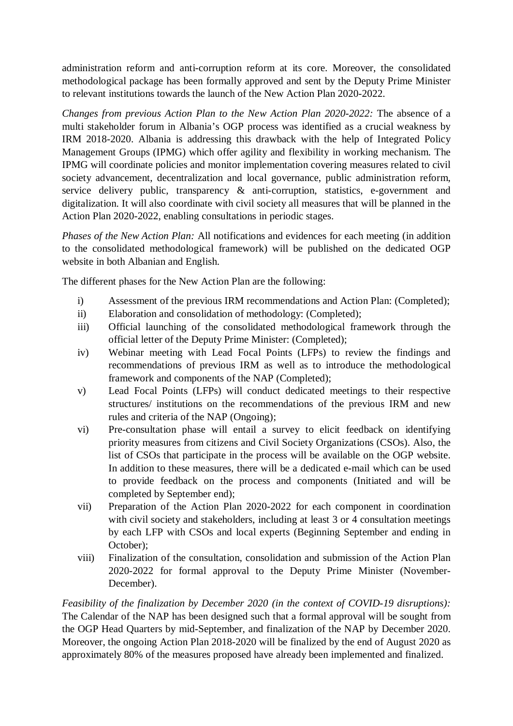administration reform and anti-corruption reform at its core. Moreover, the consolidated methodological package has been formally approved and sent by the Deputy Prime Minister to relevant institutions towards the launch of the New Action Plan 2020-2022.

*Changes from previous Action Plan to the New Action Plan 2020-2022:* The absence of a multi stakeholder forum in Albania's OGP process was identified as a crucial weakness by IRM 2018-2020. Albania is addressing this drawback with the help of Integrated Policy Management Groups (IPMG) which offer agility and flexibility in working mechanism. The IPMG will coordinate policies and monitor implementation covering measures related to civil society advancement, decentralization and local governance, public administration reform, service delivery public, transparency & anti-corruption, statistics, e-government and digitalization. It will also coordinate with civil society all measures that will be planned in the Action Plan 2020-2022, enabling consultations in periodic stages.

*Phases of the New Action Plan:* All notifications and evidences for each meeting (in addition to the consolidated methodological framework) will be published on the dedicated OGP website in both Albanian and English.

The different phases for the New Action Plan are the following:

- i) Assessment of the previous IRM recommendations and Action Plan: (Completed);
- ii) Elaboration and consolidation of methodology: (Completed);
- iii) Official launching of the consolidated methodological framework through the official letter of the Deputy Prime Minister: (Completed);
- iv) Webinar meeting with Lead Focal Points (LFPs) to review the findings and recommendations of previous IRM as well as to introduce the methodological framework and components of the NAP (Completed);
- v) Lead Focal Points (LFPs) will conduct dedicated meetings to their respective structures/ institutions on the recommendations of the previous IRM and new rules and criteria of the NAP (Ongoing);
- vi) Pre-consultation phase will entail a survey to elicit feedback on identifying priority measures from citizens and Civil Society Organizations (CSOs). Also, the list of CSOs that participate in the process will be available on the OGP website. In addition to these measures, there will be a dedicated e-mail which can be used to provide feedback on the process and components (Initiated and will be completed by September end);
- vii) Preparation of the Action Plan 2020-2022 for each component in coordination with civil society and stakeholders, including at least 3 or 4 consultation meetings by each LFP with CSOs and local experts (Beginning September and ending in October);
- viii) Finalization of the consultation, consolidation and submission of the Action Plan 2020-2022 for formal approval to the Deputy Prime Minister (November-December).

*Feasibility of the finalization by December 2020 (in the context of COVID-19 disruptions):* The Calendar of the NAP has been designed such that a formal approval will be sought from the OGP Head Quarters by mid-September, and finalization of the NAP by December 2020. Moreover, the ongoing Action Plan 2018-2020 will be finalized by the end of August 2020 as approximately 80% of the measures proposed have already been implemented and finalized.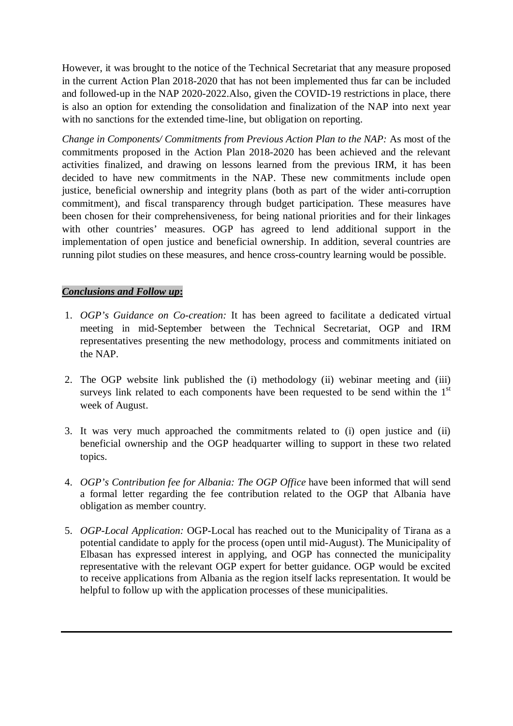However, it was brought to the notice of the Technical Secretariat that any measure proposed in the current Action Plan 2018-2020 that has not been implemented thus far can be included and followed-up in the NAP 2020-2022.Also, given the COVID-19 restrictions in place, there is also an option for extending the consolidation and finalization of the NAP into next year with no sanctions for the extended time-line, but obligation on reporting.

*Change in Components/ Commitments from Previous Action Plan to the NAP:* As most of the commitments proposed in the Action Plan 2018-2020 has been achieved and the relevant activities finalized, and drawing on lessons learned from the previous IRM, it has been decided to have new commitments in the NAP. These new commitments include open justice, beneficial ownership and integrity plans (both as part of the wider anti-corruption commitment), and fiscal transparency through budget participation. These measures have been chosen for their comprehensiveness, for being national priorities and for their linkages with other countries' measures. OGP has agreed to lend additional support in the implementation of open justice and beneficial ownership. In addition, several countries are running pilot studies on these measures, and hence cross-country learning would be possible.

### *Conclusions and Follow up***:**

- 1. *OGP's Guidance on Co-creation:* It has been agreed to facilitate a dedicated virtual meeting in mid-September between the Technical Secretariat, OGP and IRM representatives presenting the new methodology, process and commitments initiated on the NAP.
- 2. The OGP website link published the (i) methodology (ii) webinar meeting and (iii) surveys link related to each components have been requested to be send within the  $1<sup>st</sup>$ week of August.
- 3. It was very much approached the commitments related to (i) open justice and (ii) beneficial ownership and the OGP headquarter willing to support in these two related topics.
- 4. *OGP's Contribution fee for Albania: The OGP Office* have been informed that will send a formal letter regarding the fee contribution related to the OGP that Albania have obligation as member country.
- 5. *OGP-Local Application:* OGP-Local has reached out to the Municipality of Tirana as a potential candidate to apply for the process (open until mid-August). The Municipality of Elbasan has expressed interest in applying, and OGP has connected the municipality representative with the relevant OGP expert for better guidance. OGP would be excited to receive applications from Albania as the region itself lacks representation. It would be helpful to follow up with the application processes of these municipalities.